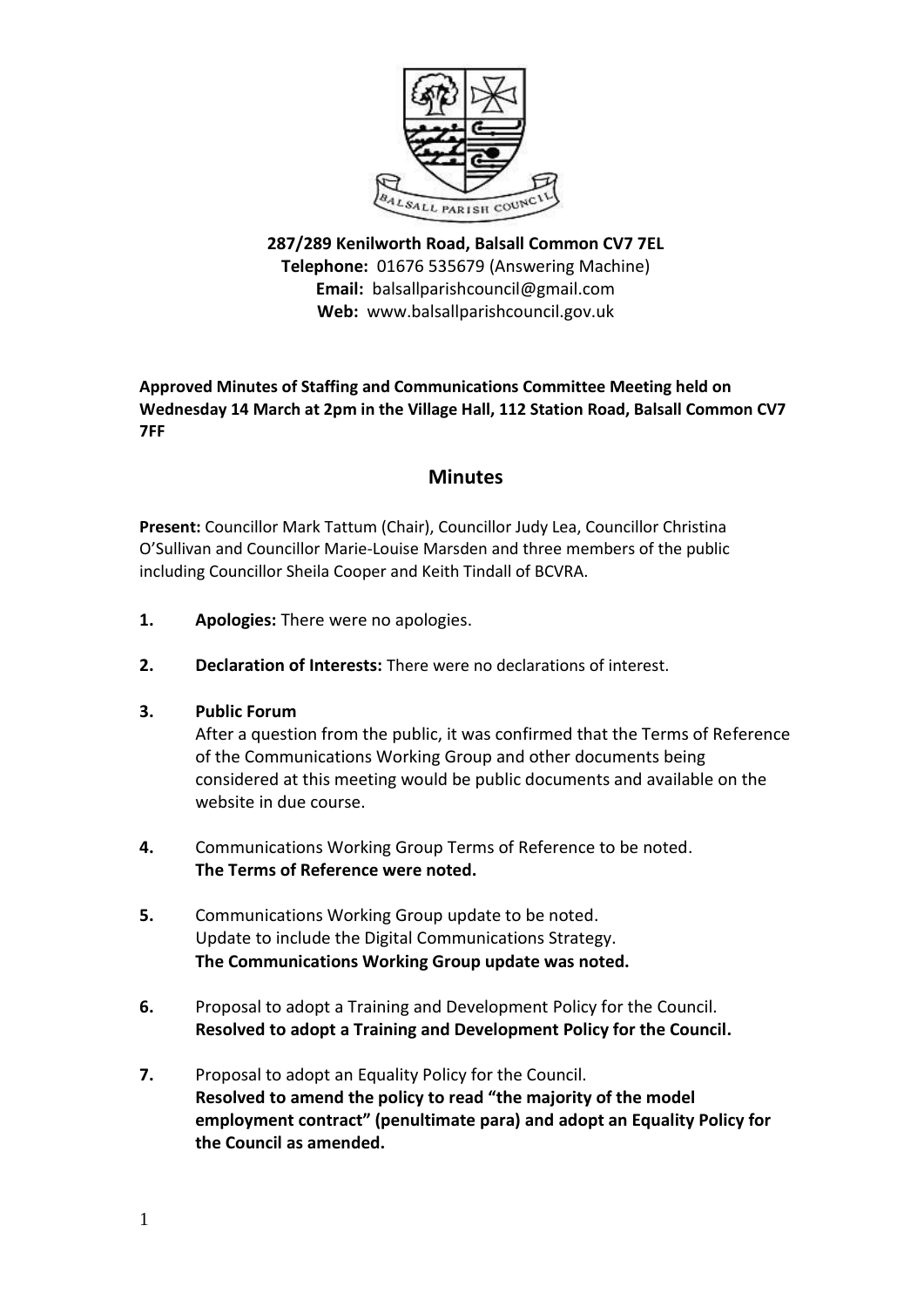

**287/289 Kenilworth Road, Balsall Common CV7 7EL Telephone:** 01676 535679 (Answering Machine) **Email:** balsallparishcouncil@gmail.com **Web:** www.balsallparishcouncil.gov.uk

## **Approved Minutes of Staffing and Communications Committee Meeting held on Wednesday 14 March at 2pm in the Village Hall, 112 Station Road, Balsall Common CV7 7FF**

## **Minutes**

**Present:** Councillor Mark Tattum (Chair), Councillor Judy Lea, Councillor Christina O'Sullivan and Councillor Marie-Louise Marsden and three members of the public including Councillor Sheila Cooper and Keith Tindall of BCVRA.

- **1. Apologies:** There were no apologies.
- **2. Declaration of Interests:** There were no declarations of interest.
- **3. Public Forum**

After a question from the public, it was confirmed that the Terms of Reference of the Communications Working Group and other documents being considered at this meeting would be public documents and available on the website in due course.

- **4.** Communications Working Group Terms of Reference to be noted. **The Terms of Reference were noted.**
- **5.** Communications Working Group update to be noted. Update to include the Digital Communications Strategy. **The Communications Working Group update was noted.**
- **6.** Proposal to adopt a Training and Development Policy for the Council. **Resolved to adopt a Training and Development Policy for the Council.**
- **7.** Proposal to adopt an Equality Policy for the Council. **Resolved to amend the policy to read "the majority of the model employment contract" (penultimate para) and adopt an Equality Policy for the Council as amended.**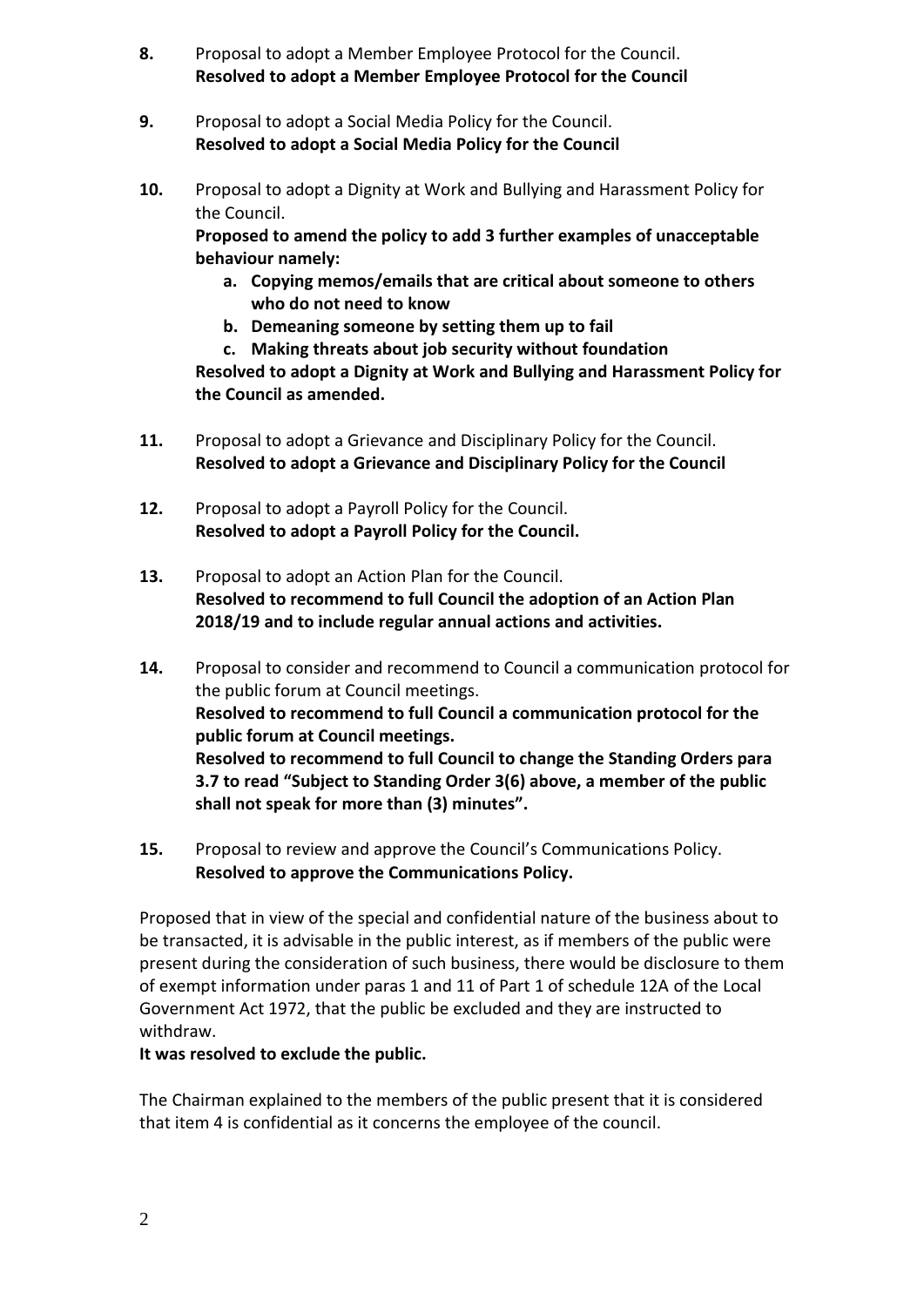- **8.** Proposal to adopt a Member Employee Protocol for the Council. **Resolved to adopt a Member Employee Protocol for the Council**
- **9.** Proposal to adopt a Social Media Policy for the Council. **Resolved to adopt a Social Media Policy for the Council**
- **10.** Proposal to adopt a Dignity at Work and Bullying and Harassment Policy for the Council.

**Proposed to amend the policy to add 3 further examples of unacceptable behaviour namely:**

- **a. Copying memos/emails that are critical about someone to others who do not need to know**
- **b. Demeaning someone by setting them up to fail**
- **c. Making threats about job security without foundation**

**Resolved to adopt a Dignity at Work and Bullying and Harassment Policy for the Council as amended.**

- **11.** Proposal to adopt a Grievance and Disciplinary Policy for the Council. **Resolved to adopt a Grievance and Disciplinary Policy for the Council**
- **12.** Proposal to adopt a Payroll Policy for the Council. **Resolved to adopt a Payroll Policy for the Council.**
- **13.** Proposal to adopt an Action Plan for the Council. **Resolved to recommend to full Council the adoption of an Action Plan 2018/19 and to include regular annual actions and activities.**
- **14.** Proposal to consider and recommend to Council a communication protocol for the public forum at Council meetings. **Resolved to recommend to full Council a communication protocol for the public forum at Council meetings. Resolved to recommend to full Council to change the Standing Orders para 3.7 to read "Subject to Standing Order 3(6) above, a member of the public shall not speak for more than (3) minutes".**
- **15.** Proposal to review and approve the Council's Communications Policy. **Resolved to approve the Communications Policy.**

Proposed that in view of the special and confidential nature of the business about to be transacted, it is advisable in the public interest, as if members of the public were present during the consideration of such business, there would be disclosure to them of exempt information under paras 1 and 11 of Part 1 of schedule 12A of the Local Government Act 1972, that the public be excluded and they are instructed to withdraw.

## **It was resolved to exclude the public.**

The Chairman explained to the members of the public present that it is considered that item 4 is confidential as it concerns the employee of the council.